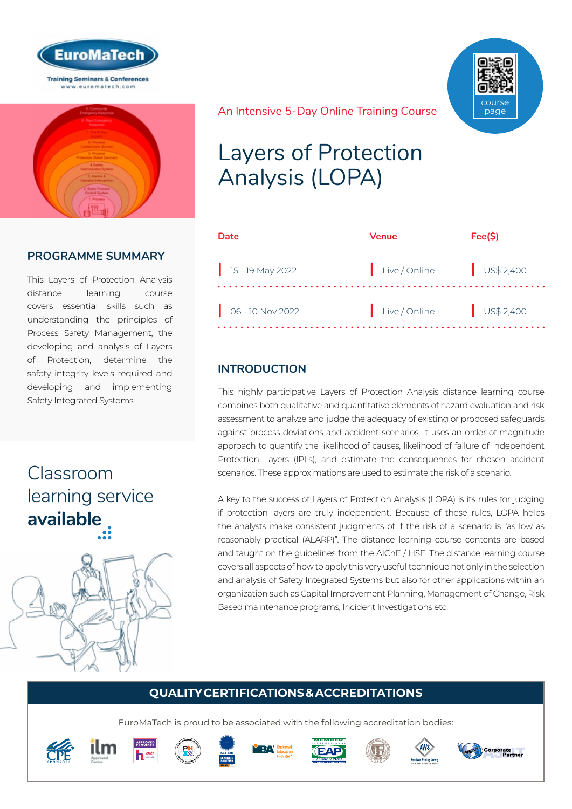



## **PROGRAMME SUMMARY**

This Layers of Protection Analysis distance learning course covers essential skills such as understanding the principles of Process Safety Management, the developing and analysis of Layers of Protection, determine the safety integrity levels required and developing and implementing Safety Integrated Systems.

## Classroom [learning service](https://www.euromatech.com/seminars/layers-of-protection-analysis-lopa/)  **available**





#### An Intensive 5-Day Online Training Course

## Layers of Protection Analysis (LOPA)

| Date                        | <b>Venue</b>           | Fee(S)               |
|-----------------------------|------------------------|----------------------|
| $15 - 19$ May 2022          | Live / Online          | $\bigcup$ US\$ 2,400 |
| $\bigcirc$ 06 - 10 Nov 2022 | Live/Online US\$ 2,400 |                      |

## **INTRODUCTION**

This highly participative Layers of Protection Analysis distance learning course combines both qualitative and quantitative elements of hazard evaluation and risk assessment to analyze and judge the adequacy of existing or proposed safeguards against process deviations and accident scenarios. It uses an order of magnitude approach to quantify the likelihood of causes, likelihood of failure of Independent Protection Layers (IPLs), and estimate the consequences for chosen accident scenarios. These approximations are used to estimate the risk of a scenario.

A key to the success of Layers of Protection Analysis (LOPA) is its rules for judging if protection layers are truly independent. Because of these rules, LOPA helps the analysts make consistent judgments of if the risk of a scenario is "as low as reasonably practical (ALARP)". The distance learning course contents are based and taught on the guidelines from the AIChE / HSE. The distance learning course covers all aspects of how to apply this very useful technique not only in the selection and analysis of Safety Integrated Systems but also for other applications within an organization such as Capital Improvement Planning, Management of Change, Risk Based maintenance programs, Incident Investigations etc.

## **QUALITY CERTIFICATIONS & ACCREDITATIONS**

EuroMaTech is proud to be associated with the following accreditation bodies:

















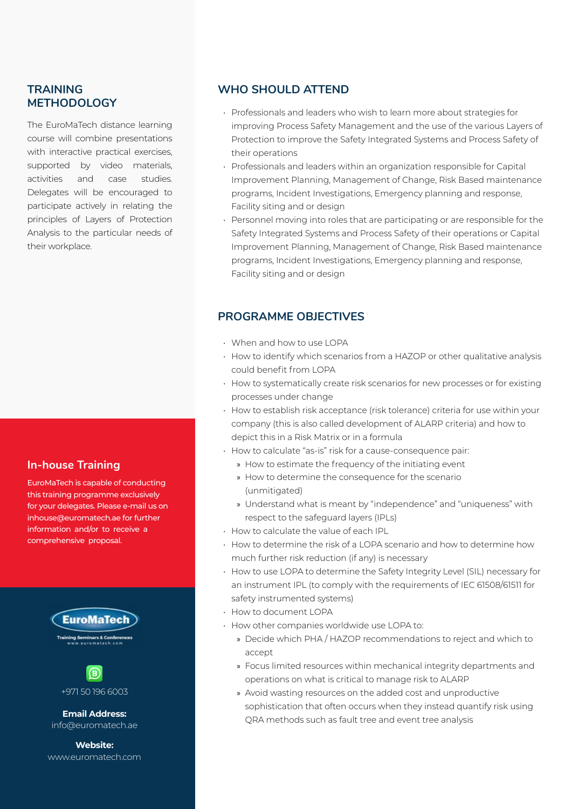#### **TRAINING METHODOLOGY**

The EuroMaTech distance learning course will combine presentations with interactive practical exercises, supported by video materials, activities and case studies. Delegates will be encouraged to participate actively in relating the principles of Layers of Protection Analysis to the particular needs of their workplace.

#### **In-house Training**

EuroMaTech is capable of conducting this training programme exclusively for your delegates. Please e-mail us on inhouse@euromatech.ae for further information and/or to receive a comprehensive proposal.





+971 50 196 6003

info@euromatech.ae

**Website:** www.euromatech.com

#### **WHO SHOULD ATTEND**

- Professionals and leaders who wish to learn more about strategies for improving Process Safety Management and the use of the various Layers of Protection to improve the Safety Integrated Systems and Process Safety of their operations
- Professionals and leaders within an organization responsible for Capital Improvement Planning, Management of Change, Risk Based maintenance programs, Incident Investigations, Emergency planning and response, Facility siting and or design
- Personnel moving into roles that are participating or are responsible for the Safety Integrated Systems and Process Safety of their operations or Capital Improvement Planning, Management of Change, Risk Based maintenance programs, Incident Investigations, Emergency planning and response, Facility siting and or design

#### **PROGRAMME OBJECTIVES**

- When and how to use LOPA
- How to identify which scenarios from a HAZOP or other qualitative analysis could benefit from LOPA
- How to systematically create risk scenarios for new processes or for existing processes under change
- How to establish risk acceptance (risk tolerance) criteria for use within your company (this is also called development of ALARP criteria) and how to depict this in a Risk Matrix or in a formula
- How to calculate "as-is" risk for a cause-consequence pair:
	- » How to estimate the frequency of the initiating event
	- » How to determine the consequence for the scenario (unmitigated)
	- » Understand what is meant by "independence" and "uniqueness" with respect to the safeguard layers (IPLs)
- How to calculate the value of each IPL
- How to determine the risk of a LOPA scenario and how to determine how much further risk reduction (if any) is necessary
- How to use LOPA to determine the Safety Integrity Level (SIL) necessary for an instrument IPL (to comply with the requirements of IEC 61508/61511 for safety instrumented systems)
- How to document LOPA
- How other companies worldwide use LOPA to:
	- » Decide which PHA / HAZOP recommendations to reject and which to accept
	- » Focus limited resources within mechanical integrity departments and operations on what is critical to manage risk to ALARP
- » Avoid wasting resources on the added cost and unproductive sophistication that often occurs when they instead quantify risk using QRA methods such as fault tree and event tree analysis **Email Address:**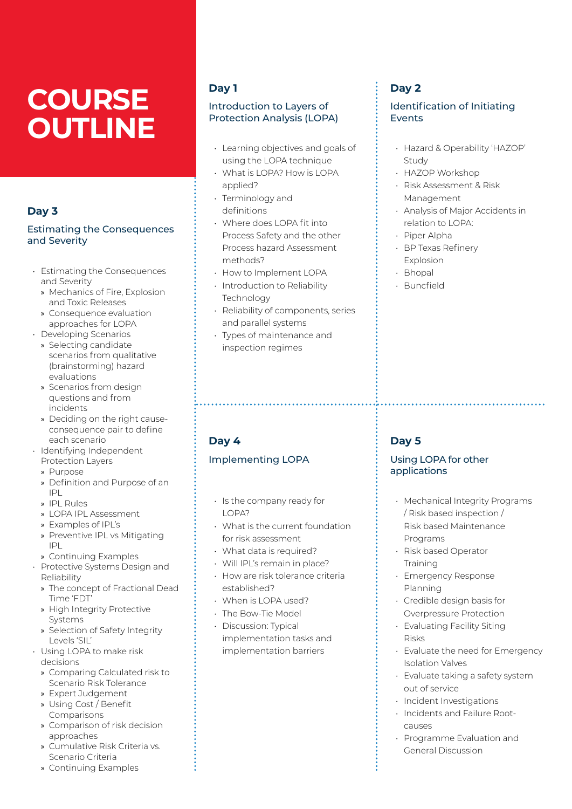# **COURSE OUTLINE**

### **Day 3**

#### Estimating the Consequences and Severity

- Estimating the Consequences and Severity
	- » Mechanics of Fire, Explosion and Toxic Releases
	- » Consequence evaluation approaches for LOPA
- Developing Scenarios » Selecting candidate
	- scenarios from qualitative (brainstorming) hazard evaluations
	- » Scenarios from design questions and from incidents
	- » Deciding on the right causeconsequence pair to define each scenario
- Identifying Independent Protection Layers
	- » Purpose
	- » Definition and Purpose of an IPL
	- » IPL Rules
	- » LOPA IPL Assessment
	- » Examples of IPL's
	- » Preventive IPL vs Mitigating IPL
- » Continuing Examples
- Protective Systems Design and Reliability
	- » The concept of Fractional Dead Time 'FDT'
	- » High Integrity Protective Systems
	- » Selection of Safety Integrity Levels 'SIL'
- Using LOPA to make risk decisions
	- » Comparing Calculated risk to Scenario Risk Tolerance
	- » Expert Judgement
	- » Using Cost / Benefit Comparisons
	- » Comparison of risk decision approaches
	- » Cumulative Risk Criteria vs. Scenario Criteria
	- » Continuing Examples

## **Day 1**

#### Introduction to Layers of Protection Analysis (LOPA)

- Learning objectives and goals of using the LOPA technique
- What is LOPA? How is LOPA applied?
- Terminology and definitions
- Where does LOPA fit into Process Safety and the other Process hazard Assessment methods?
- How to Implement LOPA
- Introduction to Reliability Technology
- Reliability of components, series and parallel systems
- Types of maintenance and inspection regimes

## **Day 4**

#### Implementing LOPA

- Is the company ready for LOPA?
- What is the current foundation for risk assessment
- What data is required?
- Will IPL's remain in place?
- How are risk tolerance criteria established?
- When is LOPA used?
- The Bow-Tie Model
- Discussion: Typical implementation tasks and implementation barriers

## **Day 2**

#### Identification of Initiating Events

- Hazard & Operability 'HAZOP' Study
- HAZOP Workshop
- Risk Assessment & Risk Management
- Analysis of Major Accidents in relation to LOPA:
- Piper Alpha
- BP Texas Refinery Explosion
- Bhopal
- Buncfield

## **Day 5**

#### Using LOPA for other applications

- Mechanical Integrity Programs / Risk based inspection / Risk based Maintenance Programs
- Risk based Operator **Training**
- Emergency Response Planning
- Credible design basis for Overpressure Protection
- Evaluating Facility Siting Risks
- Evaluate the need for Emergency Isolation Valves
- Evaluate taking a safety system out of service
- Incident Investigations
- Incidents and Failure Rootcauses
- Programme Evaluation and General Discussion